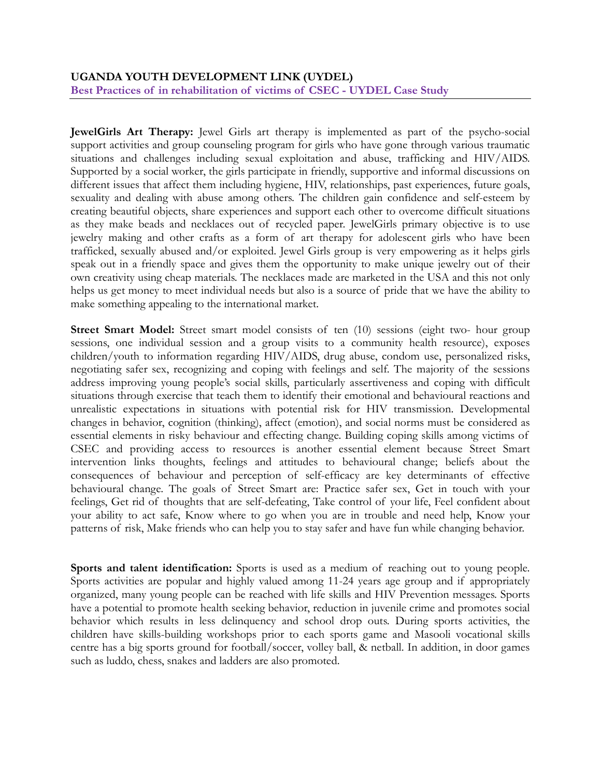**JewelGirls Art Therapy:** Jewel Girls art therapy is implemented as part of the psycho-social support activities and group counseling program for girls who have gone through various traumatic situations and challenges including sexual exploitation and abuse, trafficking and HIV/AIDS. Supported by a social worker, the girls participate in friendly, supportive and informal discussions on different issues that affect them including hygiene, HIV, relationships, past experiences, future goals, sexuality and dealing with abuse among others. The children gain confidence and self-esteem by creating beautiful objects, share experiences and support each other to overcome difficult situations as they make beads and necklaces out of recycled paper. JewelGirls primary objective is to use jewelry making and other crafts as a form of art therapy for adolescent girls who have been trafficked, sexually abused and/or exploited. Jewel Girls group is very empowering as it helps girls speak out in a friendly space and gives them the opportunity to make unique jewelry out of their own creativity using cheap materials. The necklaces made are marketed in the USA and this not only helps us get money to meet individual needs but also is a source of pride that we have the ability to make something appealing to the international market.

Street Smart Model: Street smart model consists of ten (10) sessions (eight two- hour group sessions, one individual session and a group visits to a community health resource), exposes children/youth to information regarding HIV/AIDS, drug abuse, condom use, personalized risks, negotiating safer sex, recognizing and coping with feelings and self. The majority of the sessions address improving young people's social skills, particularly assertiveness and coping with difficult situations through exercise that teach them to identify their emotional and behavioural reactions and unrealistic expectations in situations with potential risk for HIV transmission. Developmental changes in behavior, cognition (thinking), affect (emotion), and social norms must be considered as essential elements in risky behaviour and effecting change. Building coping skills among victims of CSEC and providing access to resources is another essential element because Street Smart intervention links thoughts, feelings and attitudes to behavioural change; beliefs about the consequences of behaviour and perception of self-efficacy are key determinants of effective behavioural change. The goals of Street Smart are: Practice safer sex, Get in touch with your feelings, Get rid of thoughts that are self-defeating, Take control of your life, Feel confident about your ability to act safe, Know where to go when you are in trouble and need help, Know your patterns of risk, Make friends who can help you to stay safer and have fun while changing behavior.

**Sports and talent identification:** Sports is used as a medium of reaching out to young people. Sports activities are popular and highly valued among 11-24 years age group and if appropriately organized, many young people can be reached with life skills and HIV Prevention messages. Sports have a potential to promote health seeking behavior, reduction in juvenile crime and promotes social behavior which results in less delinquency and school drop outs. During sports activities, the children have skills-building workshops prior to each sports game and Masooli vocational skills centre has a big sports ground for football/soccer, volley ball, & netball. In addition, in door games such as luddo, chess, snakes and ladders are also promoted.